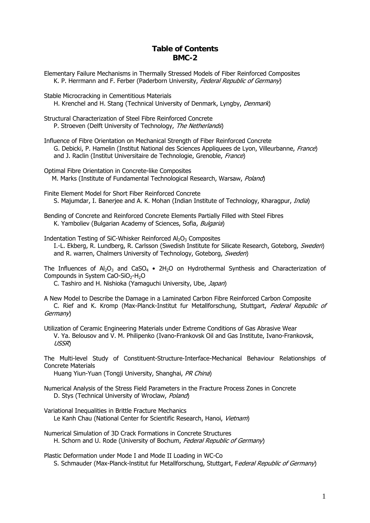## **Table of Contents BMC-2**

- Elementary Failure Mechanisms in Thermally Stressed Models of Fiber Reinforced Composites K. P. Herrmann and F. Ferber (Paderborn University, Federal Republic of Germany)
- Stable Microcracking in Cementitious Materials H. Krenchel and H. Stang (Technical University of Denmark, Lyngby, Denmark)
- Structural Characterization of Steel Fibre Reinforced Concrete P. Stroeven (Delft University of Technology, The Netherlands)
- Influence of Fibre Orientation on Mechanical Strength of Fiber Reinforced Concrete G. Debicki, P. Hamelin (Institut National des Sciences Appliquees de Lyon, Villeurbanne, France) and J. Raclin (Institut Universitaire de Technologie, Grenoble, France)
- Optimal Fibre Orientation in Concrete-like Composites M. Marks (Institute of Fundamental Technological Research, Warsaw, Poland)
- Finite Element Model for Short Fiber Reinforced Concrete S. Majumdar, I. Baneriee and A. K. Mohan (Indian Institute of Technology, Kharagpur, *India*)
- Bending of Concrete and Reinforced Concrete Elements Partially Filled with Steel Fibres K. Yamboliev (Bulgarian Academy of Sciences, Sofia, Bulgaria)

Indentation Testing of SiC-Whisker Reinforced  $Al_2O_3$  Composites I.-L. Ekberg, R. Lundberg, R. Carlsson (Swedish Institute for Silicate Research, Goteborg, Sweden) and R. warren, Chalmers University of Technology, Goteborg, Sweden)

The Influences of  $Al_2O_3$  and CaSO<sub>4</sub> • 2H<sub>2</sub>O on Hydrothermal Synthesis and Characterization of Compounds in System CaO-SiO<sub>2</sub>-H<sub>2</sub>O

C. Tashiro and H. Nishioka (Yamaguchi University, Ube, Japan)

A New Model to Describe the Damage in a Laminated Carbon Fibre Reinforced Carbon Composite C. Rief and K. Kromp (Max-Planck-Institut fur Metallforschung, Stuttgart, Federal Republic of Germany)

Utilization of Ceramic Engineering Materials under Extreme Conditions of Gas Abrasive Wear V. Ya. Belousov and V. M. Philipenko (Ivano-Frankovsk Oil and Gas Institute, Ivano-Frankovsk, USSR)

The Multi-level Study of Constituent-Structure-Interface-Mechanical Behaviour Relationships of Concrete Materials

Huang Yiun-Yuan (Tongji University, Shanghai, PR China)

- Numerical Analysis of the Stress Field Parameters in the Fracture Process Zones in Concrete D. Stys (Technical University of Wroclaw, Poland)
- Variational Inequalities in Brittle Fracture Mechanics Le Kanh Chau (National Center for Scientific Research, Hanoi, Vietnam)
- Numerical Simulation of 3D Crack Formations in Concrete Structures H. Schorn and U. Rode (University of Bochum, Federal Republic of Germany)

Plastic Deformation under Mode I and Mode II Loading in WC-Co S. Schmauder (Max-Planck-Institut fur Metallforschung, Stuttgart, Federal Republic of Germany)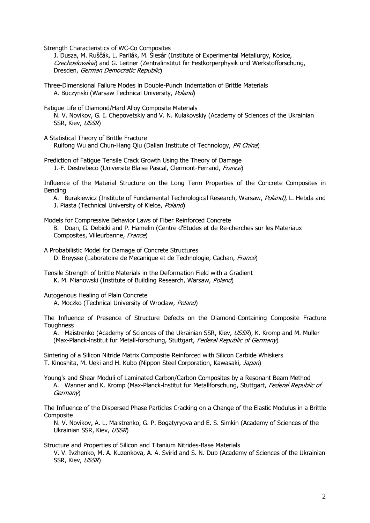Strength Characteristics of WC-Co Composites

 J. Dusza, M. Ruščák, L. Parilák, M. Šlesár (Institute of Experimental Metallurgy, Kosice, Czechoslovakia) and G. Leitner (Zentralinstitut fiir Festkorperphysik und Werkstofforschung, Dresden, German Democratic Republic)

Three-Dimensional Failure Modes in Double-Punch Indentation of Brittle Materials A. Buczynski (Warsaw Technical University, Poland)

Fatigue Life of Diamond/Hard Alloy Composite Materials

 N. V. Novikov, G. I. Chepovetskiy and V. N. Kulakovskiy (Academy of Sciences of the Ukrainian SSR, Kiev, USSR)

A Statistical Theory of Brittle Fracture Ruifong Wu and Chun-Hang Qiu (Dalian Institute of Technology, PR China)

Prediction of Fatigue Tensile Crack Growth Using the Theory of Damage J.-F. Destrebeco (Universite Blaise Pascal, Clermont-Ferrand, France)

Influence of the Material Structure on the Long Term Properties of the Concrete Composites in Bending

A. Burakiewicz (Institute of Fundamental Technological Research, Warsaw, Poland), L. Hebda and J. Piasta (Technical University of Kielce, Poland)

Models for Compressive Behavior Laws of Fiber Reinforced Concrete B. Doan, G. Debicki and P. Hamelin (Centre d'Etudes et de Re-cherches sur les Materiaux Composites, Villeurbanne, France)

A Probabilistic Model for Damage of Concrete Structures D. Breysse (Laboratoire de Mecanique et de Technologie, Cachan, France)

Tensile Strength of brittle Materials in the Deformation Field with a Gradient K. M. Mianowski (Institute of Building Research, Warsaw, Poland)

Autogenous Healing of Plain Concrete

A. Moczko (Technical University of Wroclaw, Poland)

The Influence of Presence of Structure Defects on the Diamond-Containing Composite Fracture **Toughness** 

A. Maistrenko (Academy of Sciences of the Ukrainian SSR, Kiev, USSR), K. Kromp and M. Muller (Max-Planck-Institut fur Metall-forschung, Stuttgart, Federal Republic of Germany)

Sintering of a Silicon Nitride Matrix Composite Reinforced with Silicon Carbide Whiskers T. Kinoshita, M. Ueki and H. Kubo (Nippon Steel Corporation, Kawasaki, Japan)

Young's and Shear Moduli of Laminated Carbon/Carbon Composites by a Resonant Beam Method A. Wanner and K. Kromp (Max-Planck-Institut fur Metallforschung, Stuttgart, Federal Republic of Germany)

The Influence of the Dispersed Phase Particles Cracking on a Change of the Elastic Modulus in a Brittle Composite

 N. V. Novikov, A. L. Maistrenko, G. P. Bogatyryova and E. S. Simkin (Academy of Sciences of the Ukrainian SSR, Kiev, USSR)

Structure and Properties of Silicon and Titanium Nitrides-Base Materials

 V. V. Ivzhenko, M. A. Kuzenkova, A. A. Svirid and S. N. Dub (Academy of Sciences of the Ukrainian SSR, Kiev, USSR)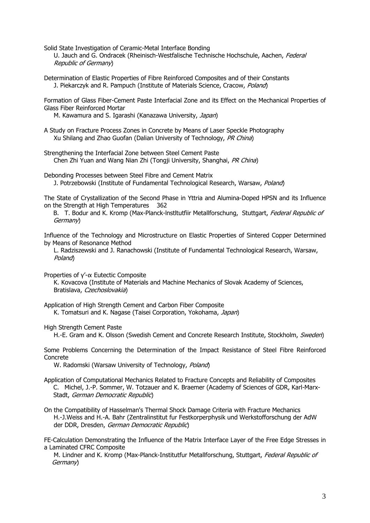Solid State Investigation of Ceramic-Metal Interface Bonding

U. Jauch and G. Ondracek (Rheinisch-Westfalische Technische Hochschule, Aachen, Federal Republic of Germany)

Determination of Elastic Properties of Fibre Reinforced Composites and of their Constants J. Piekarczyk and R. Pampuch (Institute of Materials Science, Cracow, Poland)

Formation of Glass Fiber-Cement Paste Interfacial Zone and its Effect on the Mechanical Properties of Glass Fiber Reinforced Mortar

M. Kawamura and S. Igarashi (Kanazawa University, Japan)

A Study on Fracture Process Zones in Concrete by Means of Laser Speckle Photography Xu Shilang and Zhao Guofan (Dalian University of Technology, PR China)

Strengthening the Interfacial Zone between Steel Cement Paste Chen Zhi Yuan and Wang Nian Zhi (Tongji University, Shanghai, PR China)

Debonding Processes between Steel Fibre and Cement Matrix J. Potrzebowski (Institute of Fundamental Technological Research, Warsaw, Poland)

The State of Crystallization of the Second Phase in Yttria and Alumina-Doped HPSN and its Influence on the Strength at High Temperatures 362

B. T. Bodur and K. Kromp (Max-Planck-Institutfiir Metallforschung, Stuttgart, Federal Republic of Germany)

Influence of the Technology and Microstructure on Elastic Properties of Sintered Copper Determined by Means of Resonance Method

 L. Radziszewski and J. Ranachowski (Institute of Fundamental Technological Research, Warsaw, Poland)

Properties of γ'-α Eutectic Composite

 K. Kovacova (Institute of Materials and Machine Mechanics of Slovak Academy of Sciences, Bratislava, Czechoslovakia)

Application of High Strength Cement and Carbon Fiber Composite K. Tomatsuri and K. Nagase (Taisei Corporation, Yokohama, Japan)

High Strength Cement Paste

H.-E. Gram and K. Olsson (Swedish Cement and Concrete Research Institute, Stockholm, Sweden)

Some Problems Concerning the Determination of the Impact Resistance of Steel Fibre Reinforced Concrete

W. Radomski (Warsaw University of Technology, Poland)

- Application of Computational Mechanics Related to Fracture Concepts and Reliability of Composites C. Michel, J.-P. Sommer, W. Totzauer and K. Braemer (Academy of Sciences of GDR, Karl-Marx-Stadt, German Democratic Republic)
- On the Compatibility of Hasselman's Thermal Shock Damage Criteria with Fracture Mechanics H.-J.Weiss and H.-A. Bahr (Zentralinstitut fur Festkorperphysik und Werkstofforschung der AdW der DDR, Dresden, German Democratic Republic)

FE-Calculation Demonstrating the Influence of the Matrix Interface Layer of the Free Edge Stresses in a Laminated CFRC Composite

M. Lindner and K. Kromp (Max-Planck-Institutfur Metallforschung, Stuttgart, Federal Republic of Germany)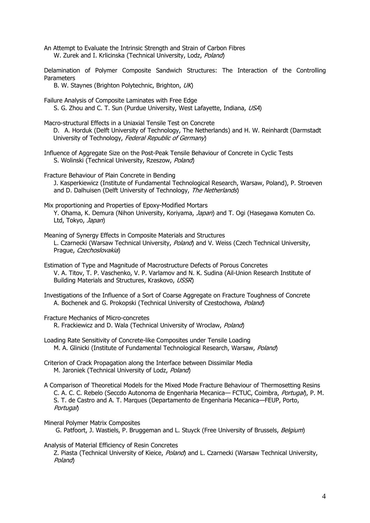An Attempt to Evaluate the Intrinsic Strength and Strain of Carbon Fibres W. Zurek and I. Krlicinska (Technical University, Lodz, Poland)

Delamination of Polymer Composite Sandwich Structures: The Interaction of the Controlling Parameters

B. W. Staynes (Brighton Polytechnic, Brighton, UK)

- Failure Analysis of Composite Laminates with Free Edge S. G. Zhou and C. T. Sun (Purdue University, West Lafayette, Indiana, USA)
- Macro-structural Effects in a Uniaxial Tensile Test on Concrete D. A. Horduk (Delft University of Technology, The Netherlands) and H. W. Reinhardt (Darmstadt University of Technology, Federal Republic of Germany)
- Influence of Aggregate Size on the Post-Peak Tensile Behaviour of Concrete in Cyclic Tests S. Wolinski (Technical University, Rzeszow, Poland)
- Fracture Behaviour of Plain Concrete in Bending J. Kasperkiewicz (Institute of Fundamental Technological Research, Warsaw, Poland), P. Stroeven and D. Dalhuisen (Delft University of Technology, The Netherlands)
- Mix proportioning and Properties of Epoxy-Modified Mortars Y. Ohama, K. Demura (Nihon University, Koriyama, Japan) and T. Ogi (Hasegawa Komuten Co. Ltd, Tokyo, Japan)
- Meaning of Synergy Effects in Composite Materials and Structures L. Czarnecki (Warsaw Technical University, *Poland*) and V. Weiss (Czech Technical University, Prague, Czechoslovakia)
- Estimation of Type and Magnitude of Macrostructure Defects of Porous Concretes V. A. Titov, T. P. Vaschenko, V. P. Varlamov and N. K. Sudina (Ail-Union Research Institute of Building Materials and Structures, Kraskovo, USSR)
- Investigations of the Influence of a Sort of Coarse Aggregate on Fracture Toughness of Concrete A. Bochenek and G. Prokopski (Technical University of Czestochowa, Poland)
- Fracture Mechanics of Micro-concretes

R. Frackiewicz and D. Wala (Technical University of Wroclaw, Poland)

- Loading Rate Sensitivity of Concrete-like Composites under Tensile Loading M. A. Glinicki (Institute of Fundamental Technological Research, Warsaw, Poland)
- Criterion of Crack Propagation along the Interface between Dissimilar Media M. Jaroniek (Technical University of Lodz, Poland)
- A Comparison of Theoretical Models for the Mixed Mode Fracture Behaviour of Thermosetting Resins C. A. C. C. Rebelo (Seccdo Autonoma de Engenharia Mecanica— FCTUC, Coimbra, Portugal), P. M. S. T. de Castro and A. T. Marques (Departamento de Engenharia Mecanica—FEUP, Porto, Portugal)

## Mineral Polymer Matrix Composites

G. Patfoort, J. Wastiels, P. Bruggeman and L. Stuyck (Free University of Brussels, Belgium)

## Analysis of Material Efficiency of Resin Concretes

Z. Piasta (Technical University of Kieice, Poland) and L. Czarnecki (Warsaw Technical University, Poland)